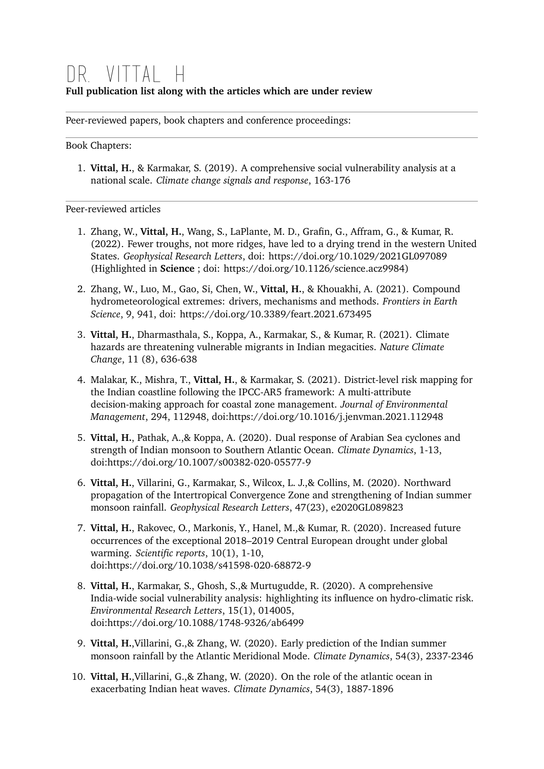## Dr. Vittal H **Full publication list along with the articles which are under review**

Peer-reviewed papers, book chapters and conference proceedings:

Book Chapters:

1. **Vittal, H.**, & Karmakar, S. (2019). A comprehensive social vulnerability analysis at a national scale. *Climate change signals and response*, 163-176

Peer-reviewed articles

- 1. Zhang, W., **Vittal, H.**, Wang, S., LaPlante, M. D., Grafin, G., Affram, G., & Kumar, R. (2022). Fewer troughs, not more ridges, have led to a drying trend in the western United States. *Geophysical Research Letters*, doi: https://doi.org/10.1029/2021GL097089 (Highlighted in **Science** ; doi: https://doi.org/10.1126/science.acz9984)
- 2. Zhang, W., Luo, M., Gao, Si, Chen, W., **Vittal, H.**, & Khouakhi, A. (2021). Compound hydrometeorological extremes: drivers, mechanisms and methods. *Frontiers in Earth Science*, 9, 941, doi: https://doi.org/10.3389/feart.2021.673495
- 3. **Vittal, H.**, Dharmasthala, S., Koppa, A., Karmakar, S., & Kumar, R. (2021). Climate hazards are threatening vulnerable migrants in Indian megacities. *Nature Climate Change*, 11 (8), 636-638
- 4. Malakar, K., Mishra, T., **Vittal, H.**, & Karmakar, S. (2021). District-level risk mapping for the Indian coastline following the IPCC-AR5 framework: A multi-attribute decision-making approach for coastal zone management. *Journal of Environmental Management*, 294, 112948, doi[:https://doi.org/10.1016/j.jenvman.2021.112948](https://doi.org/10.1016/j.jenvman.2021.112948)
- 5. **Vittal, H.**, Pathak, A.,& Koppa, A. (2020). Dual response of Arabian Sea cyclones and strength of Indian monsoon to Southern Atlantic Ocean. *Climate Dynamics*, 1-13, doi:<https://doi.org/10.1007/s00382-020-05577-9>
- 6. **Vittal, H.**, Villarini, G., Karmakar, S., Wilcox, L. J.,& Collins, M. (2020). Northward propagation of the Intertropical Convergence Zone and strengthening of Indian summer monsoon rainfall. *Geophysical Research Letters*, 47(23), e2020GL089823
- 7. **Vittal, H.**, Rakovec, O., Markonis, Y., Hanel, M.,& Kumar, R. (2020). Increased future occurrences of the exceptional 2018–2019 Central European drought under global warming. *Scientific reports*, 10(1), 1-10, doi:<https://doi.org/10.1038/s41598-020-68872-9>
- 8. **Vittal, H.**, Karmakar, S., Ghosh, S.,& Murtugudde, R. (2020). A comprehensive India-wide social vulnerability analysis: highlighting its influence on hydro-climatic risk. *Environmental Research Letters*, 15(1), 014005, doi:<https://doi.org/10.1088/1748-9326/ab6499>
- 9. **Vittal, H.**,Villarini, G.,& Zhang, W. (2020). Early prediction of the Indian summer monsoon rainfall by the Atlantic Meridional Mode. *Climate Dynamics*, 54(3), 2337-2346
- 10. **Vittal, H.**,Villarini, G.,& Zhang, W. (2020). On the role of the atlantic ocean in exacerbating Indian heat waves. *Climate Dynamics*, 54(3), 1887-1896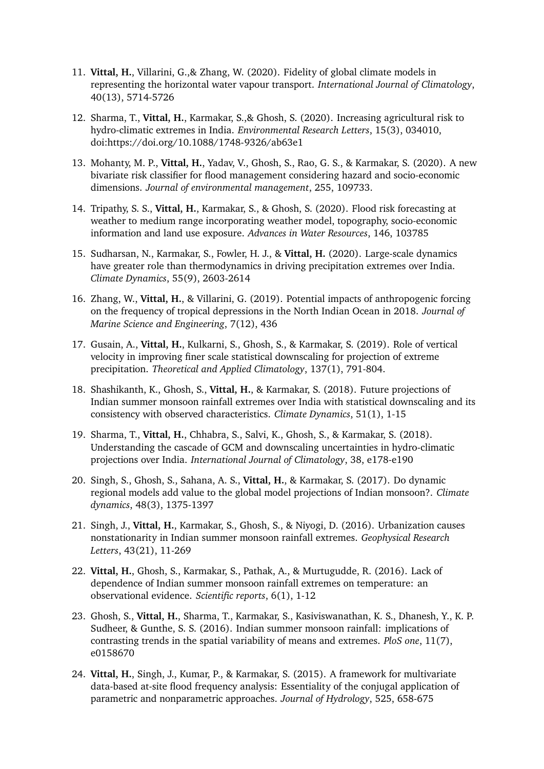- 11. **Vittal, H.**, Villarini, G.,& Zhang, W. (2020). Fidelity of global climate models in representing the horizontal water vapour transport. *International Journal of Climatology*, 40(13), 5714-5726
- 12. Sharma, T., **Vittal, H.**, Karmakar, S.,& Ghosh, S. (2020). Increasing agricultural risk to hydro-climatic extremes in India. *Environmental Research Letters*, 15(3), 034010, doi:<https://doi.org/10.1088/1748-9326/ab63e1>
- 13. Mohanty, M. P., **Vittal, H.**, Yadav, V., Ghosh, S., Rao, G. S., & Karmakar, S. (2020). A new bivariate risk classifier for flood management considering hazard and socio-economic dimensions. *Journal of environmental management*, 255, 109733.
- 14. Tripathy, S. S., **Vittal, H.**, Karmakar, S., & Ghosh, S. (2020). Flood risk forecasting at weather to medium range incorporating weather model, topography, socio-economic information and land use exposure. *Advances in Water Resources*, 146, 103785
- 15. Sudharsan, N., Karmakar, S., Fowler, H. J., & **Vittal, H.** (2020). Large-scale dynamics have greater role than thermodynamics in driving precipitation extremes over India. *Climate Dynamics*, 55(9), 2603-2614
- 16. Zhang, W., **Vittal, H.**, & Villarini, G. (2019). Potential impacts of anthropogenic forcing on the frequency of tropical depressions in the North Indian Ocean in 2018. *Journal of Marine Science and Engineering*, 7(12), 436
- 17. Gusain, A., **Vittal, H.**, Kulkarni, S., Ghosh, S., & Karmakar, S. (2019). Role of vertical velocity in improving finer scale statistical downscaling for projection of extreme precipitation. *Theoretical and Applied Climatology*, 137(1), 791-804.
- 18. Shashikanth, K., Ghosh, S., **Vittal, H.**, & Karmakar, S. (2018). Future projections of Indian summer monsoon rainfall extremes over India with statistical downscaling and its consistency with observed characteristics. *Climate Dynamics*, 51(1), 1-15
- 19. Sharma, T., **Vittal, H.**, Chhabra, S., Salvi, K., Ghosh, S., & Karmakar, S. (2018). Understanding the cascade of GCM and downscaling uncertainties in hydro‐climatic projections over India. *International Journal of Climatology*, 38, e178-e190
- 20. Singh, S., Ghosh, S., Sahana, A. S., **Vittal, H.**, & Karmakar, S. (2017). Do dynamic regional models add value to the global model projections of Indian monsoon?. *Climate dynamics*, 48(3), 1375-1397
- 21. Singh, J., **Vittal, H.**, Karmakar, S., Ghosh, S., & Niyogi, D. (2016). Urbanization causes nonstationarity in Indian summer monsoon rainfall extremes. *Geophysical Research Letters*, 43(21), 11-269
- 22. **Vittal, H.**, Ghosh, S., Karmakar, S., Pathak, A., & Murtugudde, R. (2016). Lack of dependence of Indian summer monsoon rainfall extremes on temperature: an observational evidence. *Scientific reports*, 6(1), 1-12
- 23. Ghosh, S., **Vittal, H.**, Sharma, T., Karmakar, S., Kasiviswanathan, K. S., Dhanesh, Y., K. P. Sudheer, & Gunthe, S. S. (2016). Indian summer monsoon rainfall: implications of contrasting trends in the spatial variability of means and extremes. *PloS one*, 11(7), e0158670
- 24. **Vittal, H.**, Singh, J., Kumar, P., & Karmakar, S. (2015). A framework for multivariate data-based at-site flood frequency analysis: Essentiality of the conjugal application of parametric and nonparametric approaches. *Journal of Hydrology*, 525, 658-675